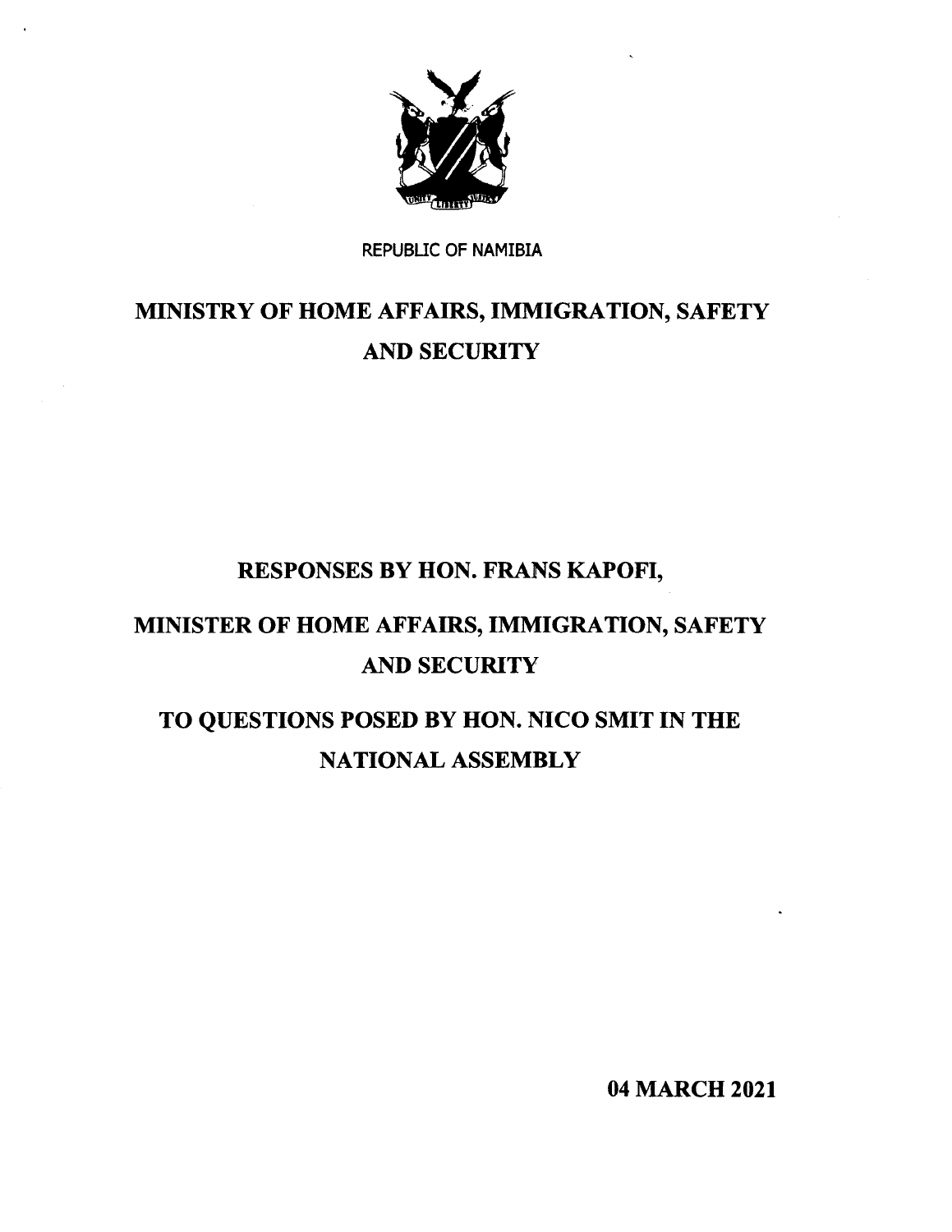

# REPUBLIC OF NAMIBIA

# MINISTRY OF HOME AFFAIRS, IMMIGRATION, SAFETY AND SECURITY

# RESPONSES BY HON. FRANS KAPOFI,

# MINISTER OF HOME AFFAIRS, IMMIGRATION, SAFETY AND SECURITY

# TO QUESTIONS POSED BY HON. NICO SMIT IN THE NATIONAL ASSEMBLY

04 MARCH 2021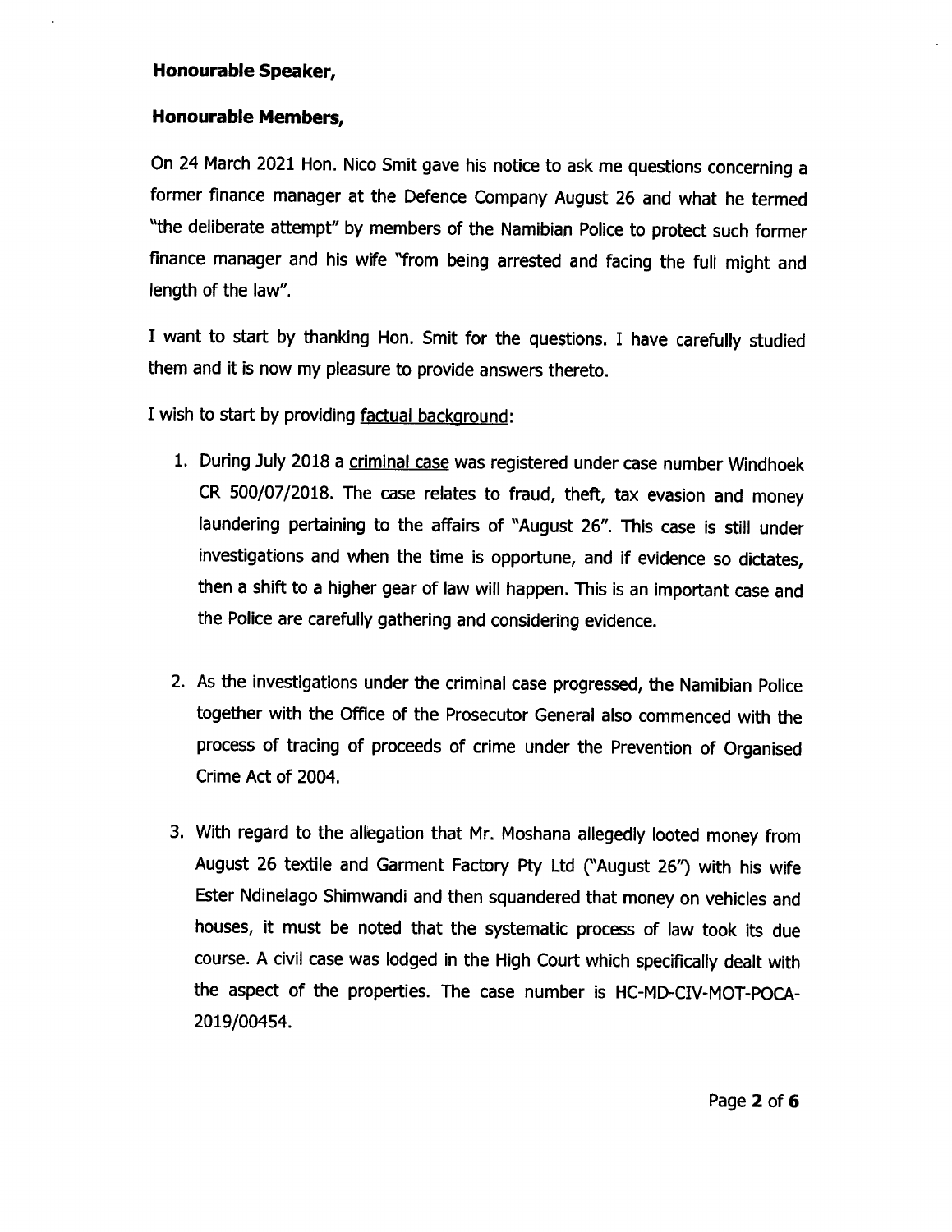## **Honourable Speaker,**

# **Honourable Members,**

On 24 March 2021 Hon. Nico Smit gave his notice to ask me questions concerning a former finance manager at the Defence Company August 26 and what he termed "the deliberate attempt" by members of the Namibian Police to protect such former finance manager and his wife "from being arrested and facing the full might and length of the law".

I want to start by thanking Hon. Smit for the questions. I have carefully studied them and it is now my pleasure to provide answers thereto.

I wish to start by providing factual background:

- 1. During July 2018 a criminal case was registered under case number Windhoek CR 500/07/2018. The case relates to fraud, theft, tax evasion and money laundering pertaining to the affairs of "August 26". This case is still under investigations and when the time is opportune, and if evidence so dictates, then a shift to a higher gear of law will happen. This is an important case and the Police are carefully gathering and considering evidence.
- 2. As the investigations under the criminal case progressed, the Namibian Police together with the Office of the Prosecutor General also commenced with the process of tracing of proceeds of crime under the Prevention of Organised Crime Act of 2004.
- 3. With regard to the allegation that Mr. Moshana allegedly looted money from August 26 textile and Garment Factory pty Ltd ("August 26'') with his wife Ester Ndinelago Shimwandi and then squandered that money on vehicles and houses, it must be noted that the systematic process of law took its due course. A civil case was lodged in the High Court which specifically dealt with the aspect of the properties. The case number is HC-MD-CIV-MOT-POCA-2019/00454.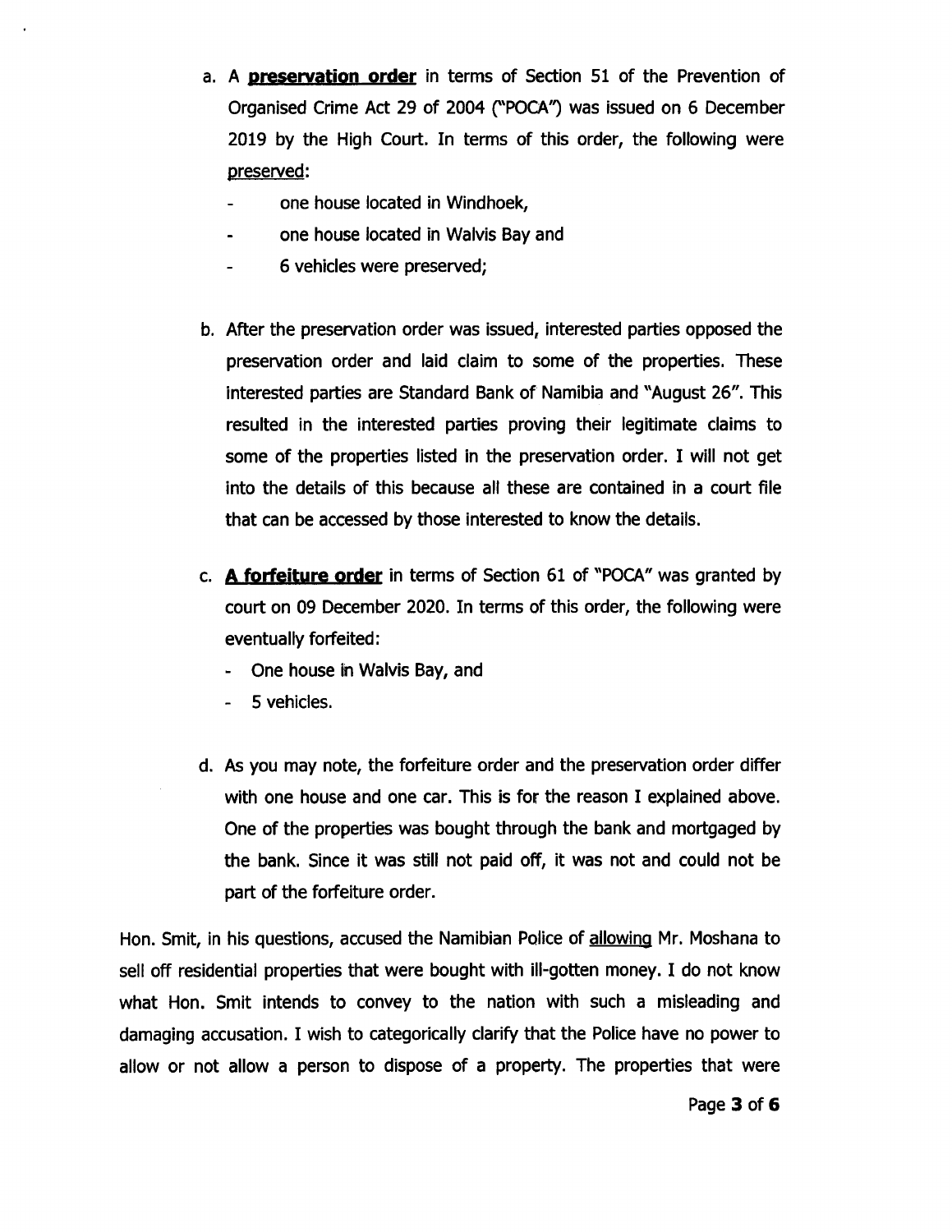- a. **A preservation order** in terms of Section 51 of the Prevention of Organised Crime Act 29 of 2004 ("POCA") was issued on 6 December 2019 by the High Court. In terms of this order, the following were preserved:
	- one house located in Windhoek,
	- one house located in Walvis Bay and
	- 6 vehicles were preserved;
- b. After the preservation order was issued, interested parties opposed the preservation order and laid claim to some of the properties. These interested parties are Standard Bank of Namibia and "August 26". This resulted in the interested parties proving their legitimate claims to some of the properties listed in the preservation order. I will not get into the details of this because all these are contained in a court file that can be accessed by those interested to know the details.
- c. **A forfeiture order** in terms of Section 61 of "POCA" was granted by court on 09 December 2020. In terms of this order, the following were eventually forfeited:
	- One house in Walvis Bay, and
	- 5 vehicles.
- d. As you may note, the forfeiture order and the preservation order differ with one house and one car. This is for the reason I explained above. One of the properties was bought through the bank and mortgaged by the bank. Since it was still not paid off, it was not and could not be part of the forfeiture order.

Hon. Smit, in his questions, accused the Namibian Police of allowing Mr. Moshana to sell *off* residential properties that were bought with ill-gotten money. I do not know what Hon. Smit intends to convey to the nation with such a misleading and damaging accusation. I wish to categorically clarify that the Police have no power to allow or not allow a person to dispose of a property. The properties that were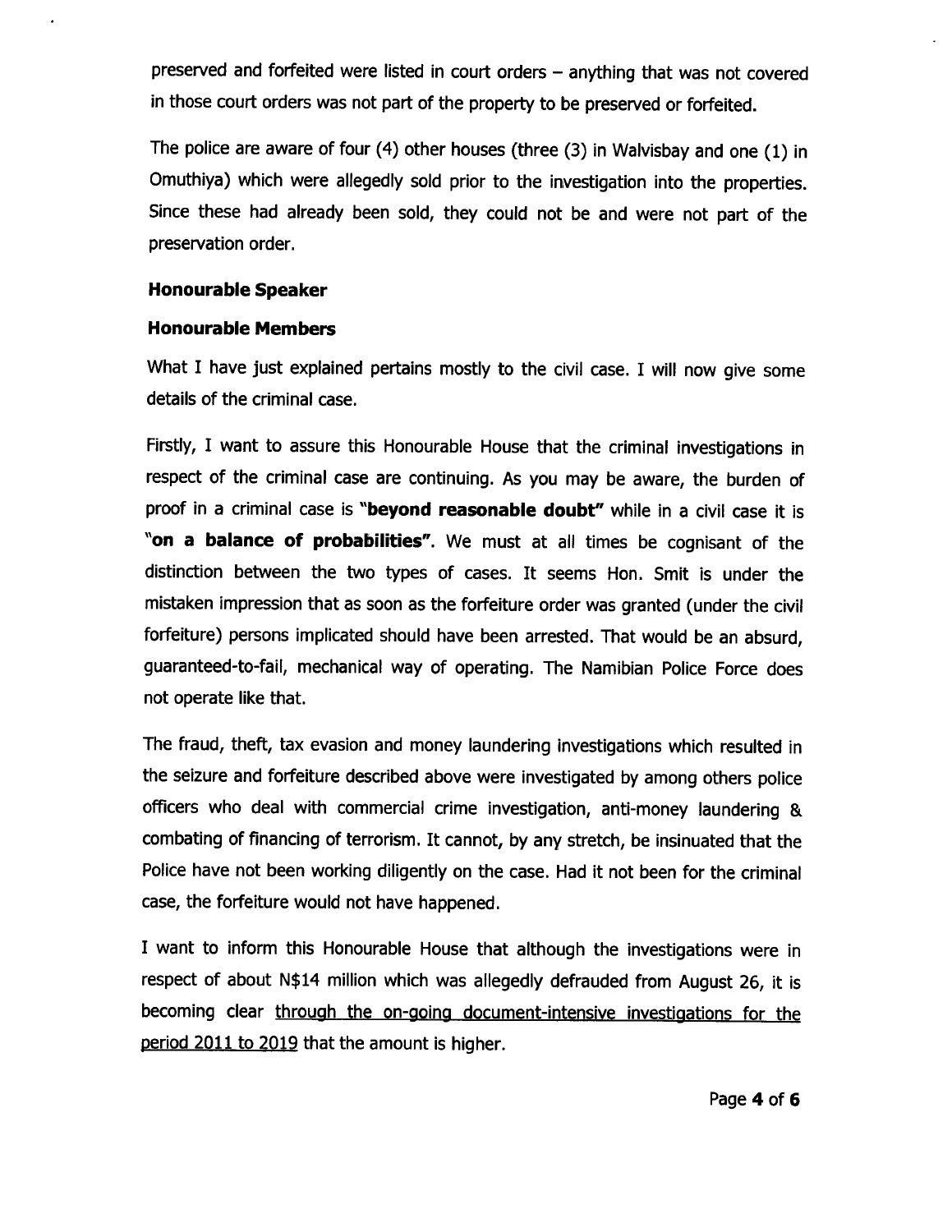preserved and forfeited were listed in court orders - anything that was not covered in those court orders was not part of the property to be preserved or forfeited.

The police are aware of four (4) other houses (three (3) in Walvisbay and one (1) in Omuthiya) which were allegedly sold prior to the investigation into the properties. Since these had already been sold, they could not be and were not part of the preservation order.

### **Honourable Speaker**

### **Honourable Members**

What I have just explained pertains mostly to the civil case. I will now give some details of the criminal case.

Firstly, I want to assure this Honourable House that the criminal investigations in respect of the criminal case are continuing. As you may be aware, the burden of proof in a criminal case is **"beyond reasonable doubt"** while in a civil case it is "on **a balance of probabilities".** We must at all times be cognisant of the distinction between the two types of cases. It seems Hon. Smit is under the mistaken impression that as soon as the forfeiture order was granted (under the civil forfeiture) persons implicated should have been arrested. That would be an absurd, guaranteed-to-fail, mechanical way of operating. The Namibian Police Force does not operate like that.

The fraud, theft, tax evasion and money laundering investigations which resulted in the seizure and forfeiture described above were investigated by among others police officers who deal with commercial crime investigation, anti-money laundering & combating of financing of terrorism. It cannot, by any stretch, be insinuated that the Police have not been working diligently on the case. Had it not been for the criminal case, the forfeiture would not have happened.

I want to inform this Honourable House that although the investigations were in respect of about N\$14 million which was allegedly defrauded from August 26, it is becoming clear through the on-going document-intensive investigations for the period 2011 to 2019 that the amount is higher.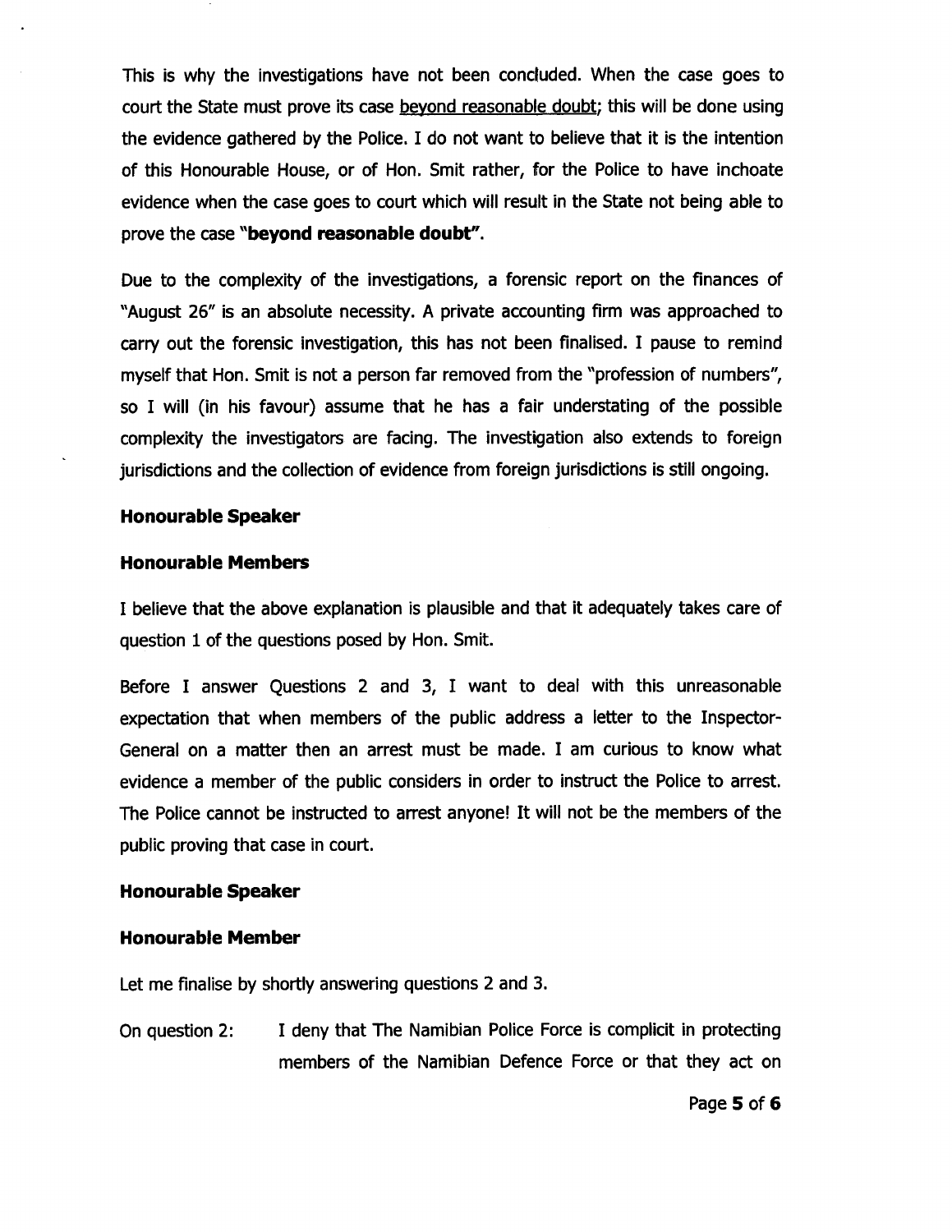This is why the investigations have not been concluded. When the case goes to court the State must prove its case beyond reasonable doubt; this will be done using the evidence gathered by the Police. I do not want to believe that it is the intention of this Honourable House, or of Hon. Smit rather, for the Police to have inchoate evidence when the case goes to court which will result in the State not being able to prove the case **"beyond reasonable doubt".**

Due to the complexity of the investigations, a forensic report on the finances of "August 26" is an absolute necessity. A private accounting firm was approached to carry out the forensic investigation, this has not been finalised. I pause to remind myself that Hon. Smit is not a person far removed from the "profession of numbers", so I will (in his favour) assume that he has a fair understating of the possible complexity the investigators are facing. The investigation also extends to foreign jurisdictions and the collection of evidence from foreign jurisdictions is still ongoing.

#### **Honourable Speaker**

#### **Honourable Members**

I believe that the above explanation is plausible and that it adequately takes care of question 1 of the questions posed by Hon. Smit.

Before I answer Questions 2 and 3, I want to deal with this unreasonable expectation that when members of the public address a letter to the Inspector-General on a matter then an arrest must be made. I am curious to know what evidence a member of the public considers in order to instruct the Police to arrest. The Police cannot be instructed to arrest anyone! It will not be the members of the public proving that case in court.

#### **Honourable Speaker**

#### **Honourable Member**

Let me finalise by shortly answering questions 2 and 3.

On question 2: I deny that The Namibian Police Force is complicit in protecting members of the Namibian Defence Force or that they act on